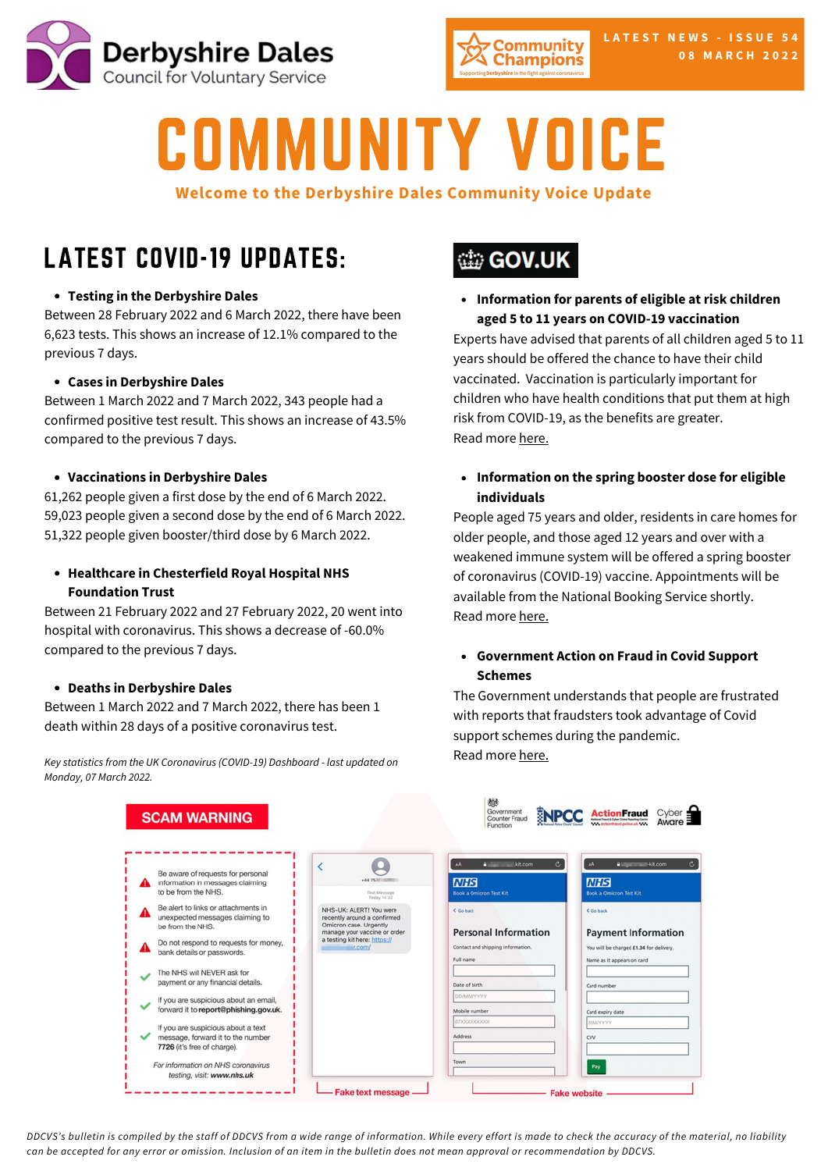



# COMMUNITY VOICE

## **Welcome to the Derbyshire Dales Community Voice Update**

## LATEST COVID-19 UPDATES:

## **Testing in the [Derbyshire](https://www.gov.uk/guidance/covid-19-coronavirus-restrictions-what-you-can-and-cannot-do?priority-taxon=774cee22-d896-44c1-a611-e3109cce8eae) Dales**

[Be](https://www.gov.uk/guidance/covid-19-coronavirus-restrictions-what-you-can-and-cannot-do?priority-taxon=774cee22-d896-44c1-a611-e3109cce8eae)tween 28 February 2022 and 6 March 2022, there have been 6,623 tests. This shows an increase of 12.1% [compared](https://www.gov.uk/guidance/covid-19-coronavirus-restrictions-what-you-can-and-cannot-do?priority-taxon=774cee22-d896-44c1-a611-e3109cce8eae) to the previous 7 days.

## **Cases in [Derbyshire](https://www.gov.uk/guidance/covid-19-coronavirus-restrictions-what-you-can-and-cannot-do?priority-taxon=774cee22-d896-44c1-a611-e3109cce8eae) Dales**

[Be](https://www.gov.uk/guidance/covid-19-coronavirus-restrictions-what-you-can-and-cannot-do?priority-taxon=774cee22-d896-44c1-a611-e3109cce8eae)tween 1 March 2022 and 7 March 2022, 343 people had a [confirmed](https://www.gov.uk/guidance/covid-19-coronavirus-restrictions-what-you-can-and-cannot-do?priority-taxon=774cee22-d896-44c1-a611-e3109cce8eae) positive test result. This shows an increase of 43.5% compared to the previous 7 days.

### **[Vaccinations](https://www.gov.uk/guidance/covid-19-coronavirus-restrictions-what-you-can-and-cannot-do?priority-taxon=774cee22-d896-44c1-a611-e3109cce8eae) in Derbyshire Dales**

61,262 people given a first dose by the end of 6 March 2022. 59,023 people given a second dose by the end of 6 March 2022. 51,322 people given booster/third dose by 6 March 2022.

## **Healthcare in [Chesterfield](https://www.gov.uk/guidance/covid-19-coronavirus-restrictions-what-you-can-and-cannot-do?priority-taxon=774cee22-d896-44c1-a611-e3109cce8eae) Royal Hospital NHS Foundation Trust**

Between 21 February 2022 and 27 February 2022, 20 went into hospital with coronavirus. This shows a decrease of -60.0% compared to the previous 7 days.

### **Deaths in [Derbyshire](https://www.gov.uk/guidance/covid-19-coronavirus-restrictions-what-you-can-and-cannot-do?priority-taxon=774cee22-d896-44c1-a611-e3109cce8eae) Dales**

Between 1 March 2022 and 7 March 2022, there has been 1 death within 28 days of a positive coronavirus test.

*Key statistics from the UK [Coronavirus](https://www.gov.uk/guidance/covid-19-coronavirus-restrictions-what-you-can-and-cannot-do?priority-taxon=774cee22-d896-44c1-a611-e3109cce8eae) (COVID-19) Dashboard - last updated on Monday, 07 March 2022.*

## **tip GOV.UK**

**Information for parents of eligible at risk children aged 5 to 11 years on COVID-19 vaccination**

Experts have advised that parents of all children aged 5 to 11 years should be offered the chance to have their child vaccinated. Vaccination is particularly important for children who have health conditions that put them at high risk from COVID-19, as the benefits are greater. Read more [here.](https://assets.publishing.service.gov.uk/government/uploads/system/uploads/attachment_data/file/1058694/COVID-19-guide-for-parents-of-children-aged-5-11-years.pdf)

**Information on the spring booster dose for eligible individuals**

People aged 75 years and older, residents in care homes for older people, and those aged 12 years and over with a weakened immune system will be offered a spring booster of coronavirus (COVID-19) vaccine. Appointments will be available from the National Booking Service shortly. Read more [here.](https://assets.publishing.service.gov.uk/government/uploads/system/uploads/attachment_data/file/1058449/UKHSA-12308-COVID-19-spring-booster-guide-for-over-75s.pdf)

## **Government Action on Fraud in Covid Support Schemes**

The Government understands that people are frustrated with reports that fraudsters took advantage of Covid support schemes during the pandemic. Read more [here.](https://www.gov.uk/government/publications/government-action-on-fraud-in-covid-support-schemes?utm_medium=email&utm_campaign=govuk-notifications-topic&utm_source=49cf41ad-6d4a-4269-97a0-84372e7e89c7&utm_content=daily&mc_cid=6a018ccf34&mc_eid=2de0ef7f77)

|                                                                                              |                                                                                                                                                             | Function                                                         |                                                                       |
|----------------------------------------------------------------------------------------------|-------------------------------------------------------------------------------------------------------------------------------------------------------------|------------------------------------------------------------------|-----------------------------------------------------------------------|
| Be aware of requests for personal<br>information in messages claiming<br>to be from the NHS. |                                                                                                                                                             | c.<br>m<br>kit.com<br>aA.                                        | AA.<br><b>A interest and kill com</b>                                 |
|                                                                                              | Text Message<br>Today 14:32                                                                                                                                 | <b>NHS</b><br><b>Book a Omicron Test Kit</b>                     | <b>NHS</b><br><b>Book a Omicron Test Kit</b>                          |
| Be alert to links or attachments in<br>unexpected messages claiming to<br>be from the NHS.   | NHS-UK: ALERT! You were<br>recently around a confirmed<br>Omicron case. Urgently<br>manage your vaccine or order<br>a testing kit here: https://<br>ir.com/ | C Go back                                                        | <b>C</b> Go back                                                      |
| Do not respond to requests for money,<br>bank details or passwords.                          |                                                                                                                                                             | <b>Personal Information</b><br>Contact and shipping information. | <b>Payment Information</b><br>You will be charged £1.34 for delivery. |
| The NHS will NEVER ask for<br>payment or any financial details.                              |                                                                                                                                                             | Full name<br>Date of birth                                       | Name as it appears on card<br>Card number                             |
| If you are suspicious about an email,<br>forward it to report@phishing.gov.uk.               |                                                                                                                                                             | DOMMAYYYY<br>Mobile number                                       | Card expiry date                                                      |
| If you are suspicious about a text                                                           |                                                                                                                                                             | 07XXXXXXXXXX                                                     | MMYYYYY                                                               |
| message, forward it to the number<br>7726 (it's free of charge).                             |                                                                                                                                                             | Address                                                          | CVV                                                                   |
| For information on NHS coronavirus<br>testing, visit: www.nhs.uk                             |                                                                                                                                                             | Town                                                             | Pay                                                                   |

DDCVS's bulletin is compiled by the staff of DDCVS from a wide range of information. While every effort is made to check the accuracy of the material, no liability can be accepted for any error or omission. Inclusion of an item in the bulletin does not mean approval or recommendation by DDCVS.